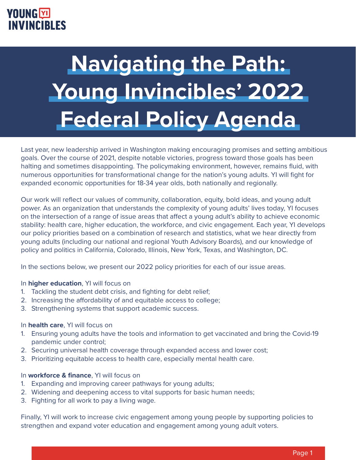# **Navigating the Path: Young Invincibles' 2022 Federal Policy Agenda**

Last year, new leadership arrived in Washington making encouraging promises and setting ambitious goals. Over the course of 2021, despite notable victories, progress toward those goals has been halting and sometimes disappointing. The policymaking environment, however, remains fluid, with numerous opportunities for transformational change for the nation's young adults. YI will fight for expanded economic opportunities for 18-34 year olds, both nationally and regionally.

Our work will reflect our values of community, collaboration, equity, bold ideas, and young adult power. As an organization that understands the complexity of young adults' lives today, YI focuses on the intersection of a range of issue areas that affect a young adult's ability to achieve economic stability: health care, higher education, the workforce, and civic engagement. Each year, YI develops our policy priorities based on a combination of research and statistics, what we hear directly from young adults (including our national and regional Youth Advisory Boards), and our knowledge of policy and politics in California, Colorado, Illinois, New York, Texas, and Washington, DC.

In the sections below, we present our 2022 policy priorities for each of our issue areas.

#### In **higher education**, YI will focus on

- 1. Tackling the student debt crisis, and fighting for debt relief;
- 2. Increasing the affordability of and equitable access to college;
- 3. Strengthening systems that support academic success.

#### In **health care**, YI will focus on

- 1. Ensuring young adults have the tools and information to get vaccinated and bring the Covid-19 pandemic under control;
- 2. Securing universal health coverage through expanded access and lower cost;
- 3. Prioritizing equitable access to health care, especially mental health care.

#### In **workforce & finance**, YI will focus on

- 1. Expanding and improving career pathways for young adults;
- 2. Widening and deepening access to vital supports for basic human needs;
- 3. Fighting for all work to pay a living wage.

Finally, YI will work to increase civic engagement among young people by supporting policies to strengthen and expand voter education and engagement among young adult voters.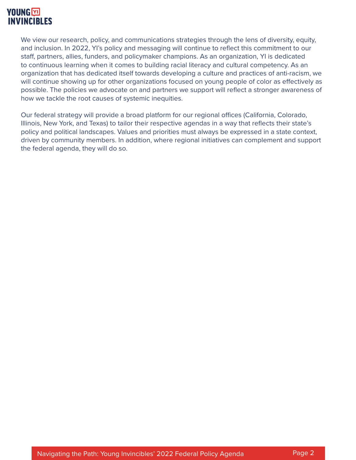We view our research, policy, and communications strategies through the lens of diversity, equity, and inclusion. In 2022, YI's policy and messaging will continue to reflect this commitment to our staff, partners, allies, funders, and policymaker champions. As an organization, YI is dedicated to continuous learning when it comes to building racial literacy and cultural competency. As an organization that has dedicated itself towards developing a culture and practices of anti-racism, we will continue showing up for other organizations focused on young people of color as effectively as possible. The policies we advocate on and partners we support will reflect a stronger awareness of how we tackle the root causes of systemic inequities.

Our federal strategy will provide a broad platform for our regional offices (California, Colorado, Illinois, New York, and Texas) to tailor their respective agendas in a way that reflects their state's policy and political landscapes. Values and priorities must always be expressed in a state context, driven by community members. In addition, where regional initiatives can complement and support the federal agenda, they will do so.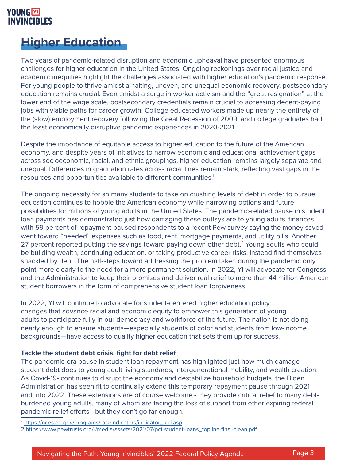# **Higher Education**

Two years of pandemic-related disruption and economic upheaval have presented enormous challenges for higher education in the United States. Ongoing reckonings over racial justice and academic inequities highlight the challenges associated with higher education's pandemic response. For young people to thrive amidst a halting, uneven, and unequal economic recovery, postsecondary education remains crucial. Even amidst a surge in worker activism and the "great resignation" at the lower end of the wage scale, postsecondary credentials remain crucial to accessing decent-paying jobs with viable paths for career growth. College educated workers made up nearly the entirety of the (slow) employment recovery following the Great Recession of 2009, and college graduates had the least economically disruptive pandemic experiences in 2020-2021.

Despite the importance of equitable access to higher education to the future of the American economy, and despite years of initiatives to narrow economic and educational achievement gaps across socioeconomic, racial, and ethnic groupings, higher education remains largely separate and unequal. Differences in graduation rates across racial lines remain stark, reflecting vast gaps in the resources and opportunities available to different communities.<sup>1</sup>

The ongoing necessity for so many students to take on crushing levels of debt in order to pursue education continues to hobble the American economy while narrowing options and future possibilities for millions of young adults in the United States. The pandemic-related pause in student loan payments has demonstrated just how damaging these outlays are to young adults' finances, with 59 percent of repayment-paused respondents to a recent Pew survey saying the money saved went toward "needed" expenses such as food, rent, mortgage payments, and utility bills. Another 27 percent reported putting the savings toward paying down other debt.<sup>2</sup> Young adults who could be building wealth, continuing education, or taking productive career risks, instead find themselves shackled by debt. The half-steps toward addressing the problem taken during the pandemic only point more clearly to the need for a more permanent solution. In 2022, YI will advocate for Congress and the Administration to keep their promises and deliver real relief to more than 44 million American student borrowers in the form of comprehensive student loan forgiveness.

In 2022, YI will continue to advocate for student-centered higher education policy changes that advance racial and economic equity to empower this generation of young adults to participate fully in our democracy and workforce of the future. The nation is not doing nearly enough to ensure students—especially students of color and students from low-income backgrounds—have access to quality higher education that sets them up for success.

#### **Tackle the student debt crisis, fight for debt relief**

The pandemic-era pause in student loan repayment has highlighted just how much damage student debt does to young adult living standards, intergenerational mobility, and wealth creation. As Covid-19- continues to disrupt the economy and destabilize household budgets, the Biden Administration has seen fit to continually extend this temporary repayment pause through 2021 and into 2022. These extensions are of course welcome - they provide critical relief to many debtburdened young adults, many of whom are facing the loss of support from other expiring federal pandemic relief efforts - but they don't go far enough.

1 [https://nces.ed.gov/programs/raceindicators/indicator\\_red.asp](https://nces.ed.gov/programs/raceindicators/indicator_red.asp) 2 [https://www.pewtrusts.org/-/media/assets/2021/07/pct-student-loans\\_topline-final-clean.pdf](https://www.pewtrusts.org/-/media/assets/2021/07/pct-student-loans_topline-final-clean.pdf)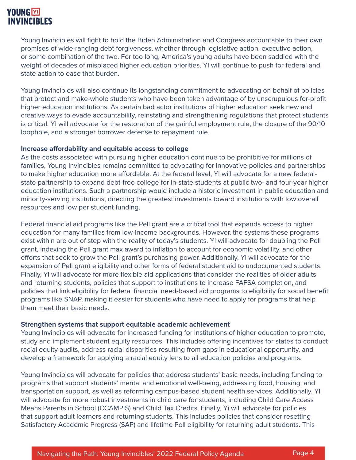Young Invincibles will fight to hold the Biden Administration and Congress accountable to their own promises of wide-ranging debt forgiveness, whether through legislative action, executive action, or some combination of the two. For too long, America's young adults have been saddled with the weight of decades of misplaced higher education priorities. YI will continue to push for federal and state action to ease that burden.

Young Invincibles will also continue its longstanding commitment to advocating on behalf of policies that protect and make-whole students who have been taken advantage of by unscrupulous for-profit higher education institutions. As certain bad actor institutions of higher education seek new and creative ways to evade accountability, reinstating and strengthening regulations that protect students is critical. YI will advocate for the restoration of the gainful employment rule, the closure of the 90/10 loophole, and a stronger borrower defense to repayment rule.

#### **Increase affordability and equitable access to college**

As the costs associated with pursuing higher education continue to be prohibitive for millions of families, Young Invincibles remains committed to advocating for innovative policies and partnerships to make higher education more affordable. At the federal level, YI will advocate for a new federalstate partnership to expand debt-free college for in-state students at public two- and four-year higher education institutions. Such a partnership would include a historic investment in public education and minority-serving institutions, directing the greatest investments toward institutions with low overall resources and low per student funding.

Federal financial aid programs like the Pell grant are a critical tool that expands access to higher education for many families from low-income backgrounds. However, the systems these programs exist within are out of step with the reality of today's students. YI will advocate for doubling the Pell grant, indexing the Pell grant max award to inflation to account for economic volatility, and other efforts that seek to grow the Pell grant's purchasing power. Additionally, YI will advocate for the expansion of Pell grant eligibility and other forms of federal student aid to undocumented students. Finally, YI will advocate for more flexible aid applications that consider the realities of older adults and returning students, policies that support to institutions to increase FAFSA completion, and policies that link eligibility for federal financial need-based aid programs to eligibility for social benefit programs like SNAP, making it easier for students who have need to apply for programs that help them meet their basic needs.

#### **Strengthen systems that support equitable academic achievement**

Young Invincibles will advocate for increased funding for institutions of higher education to promote, study and implement student equity resources. This includes offering incentives for states to conduct racial equity audits, address racial disparities resulting from gaps in educational opportunity, and develop a framework for applying a racial equity lens to all education policies and programs.

Young Invincibles will advocate for policies that address students' basic needs, including funding to programs that support students' mental and emotional well-being, addressing food, housing, and transportation support, as well as reforming campus-based student health services. Additionally, YI will advocate for more robust investments in child care for students, including Child Care Access Means Parents in School (CCAMPIS) and Child Tax Credits. Finally, Yi will advocate for policies that support adult learners and returning students. This includes policies that consider resetting Satisfactory Academic Progress (SAP) and lifetime Pell eligibility for returning adult students. This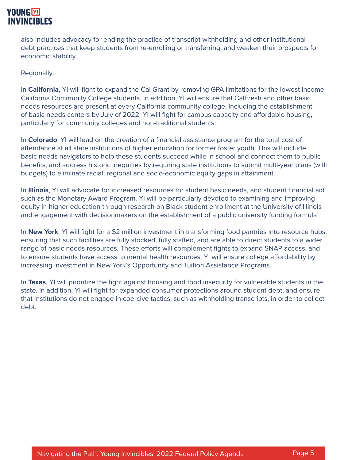also includes advocacy for ending the practice of transcript withholding and other institutional debt practices that keep students from re-enrolling or transferring, and weaken their prospects for economic stability.

Regionally:

In **California**, YI will fight to expand the Cal Grant by removing GPA limitations for the lowest income California Community College students. In addition, YI will ensure that CalFresh and other basic needs resources are present at every California community college, including the establishment of basic needs centers by July of 2022. YI will fight for campus capacity and affordable housing, particularly for community colleges and non-traditional students.

In **Colorado**, YI will lead on the creation of a financial assistance program for the total cost of attendance at all state institutions of higher education for former foster youth. This will include basic needs navigators to help these students succeed while in school and connect them to public benefits, and address historic inequities by requiring state institutions to submit multi-year plans (with budgets) to eliminate racial, regional and socio-economic equity gaps in attainment.

In **Illinois**, YI will advocate for increased resources for student basic needs, and student financial aid such as the Monetary Award Program. YI will be particularly devoted to examining and improving equity in higher education through research on Black student enrollment at the University of Illinois and engagement with decisionmakers on the establishment of a public university funding formula

In **New York**, YI will fight for a \$2 million investment in transforming food pantries into resource hubs, ensuring that such facilities are fully stocked, fully staffed, and are able to direct students to a wider range of basic needs resources. These efforts will complement fights to expand SNAP access, and to ensure students have access to mental health resources. YI will ensure college affordability by increasing investment in New York's Opportunity and Tuition Assistance Programs.

In **Texas**, YI will prioritize the fight against housing and food insecurity for vulnerable students in the state. In addition, YI will fight for expanded consumer protections around student debt, and ensure that institutions do not engage in coercive tactics, such as withholding transcripts, in order to collect debt.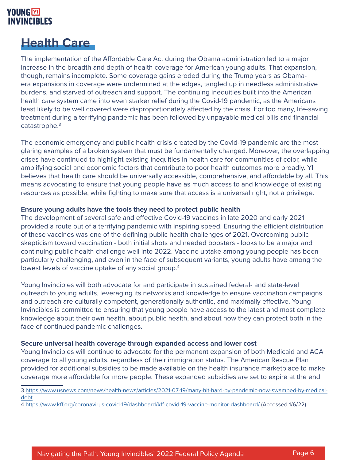# **Health Care**

The implementation of the Affordable Care Act during the Obama administration led to a major increase in the breadth and depth of health coverage for American young adults. That expansion, though, remains incomplete. Some coverage gains eroded during the Trump years as Obamaera expansions in coverage were undermined at the edges, tangled up in needless administrative burdens, and starved of outreach and support. The continuing inequities built into the American health care system came into even starker relief during the Covid-19 pandemic, as the Americans least likely to be well covered were disproportionately affected by the crisis. For too many, life-saving treatment during a terrifying pandemic has been followed by unpayable medical bills and financial catastrophe.3

The economic emergency and public health crisis created by the Covid-19 pandemic are the most glaring examples of a broken system that must be fundamentally changed. Moreover, the overlapping crises have continued to highlight existing inequities in health care for communities of color, while amplifying social and economic factors that contribute to poor health outcomes more broadly. YI believes that health care should be universally accessible, comprehensive, and affordable by all. This means advocating to ensure that young people have as much access to and knowledge of existing resources as possible, while fighting to make sure that access is a universal right, not a privilege.

#### **Ensure young adults have the tools they need to protect public health**

The development of several safe and effective Covid-19 vaccines in late 2020 and early 2021 provided a route out of a terrifying pandemic with inspiring speed. Ensuring the efficient distribution of these vaccines was one of the defining public health challenges of 2021. Overcoming public skepticism toward vaccination - both initial shots and needed boosters - looks to be a major and continuing public health challenge well into 2022. Vaccine uptake among young people has been particularly challenging, and even in the face of subsequent variants, young adults have among the lowest levels of vaccine uptake of any social group.4

Young Invincibles will both advocate for and participate in sustained federal- and state-level outreach to young adults, leveraging its networks and knowledge to ensure vaccination campaigns and outreach are culturally competent, generationally authentic, and maximally effective. Young Invincibles is committed to ensuring that young people have access to the latest and most complete knowledge about their own health, about public health, and about how they can protect both in the face of continued pandemic challenges.

#### **Secure universal health coverage through expanded access and lower cost**

Young Invincibles will continue to advocate for the permanent expansion of both Medicaid and ACA coverage to all young adults, regardless of their immigration status. The American Rescue Plan provided for additional subsidies to be made available on the health insurance marketplace to make coverage more affordable for more people. These expanded subsidies are set to expire at the end

3 [https://www.usnews.com/news/health-news/articles/2021-07-19/many-hit-hard-by-pandemic-now-swamped-by-medical](https://www.usnews.com/news/health-news/articles/2021-07-19/many-hit-hard-by-pandemic-now-swamped-by)[debt](https://www.usnews.com/news/health-news/articles/2021-07-19/many-hit-hard-by-pandemic-now-swamped-by)

4<https://www.kff.org/coronavirus-covid-19/dashboard/kff-covid-19-vaccine-monitor-dashboard/>(Accessed 1/6/22)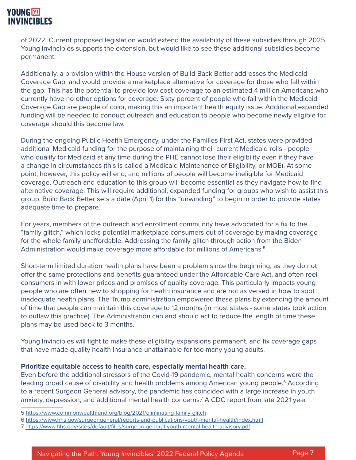of 2022. Current proposed legislation would extend the availability of these subsidies through 2025. Young Invincibles supports the extension, but would like to see these additional subsidies become permanent.

Additionally, a provision within the House version of Build Back Better addresses the Medicaid Coverage Gap, and would provide a marketplace alternative for coverage for those who fall within the gap. This has the potential to provide low cost coverage to an estimated 4 million Americans who currently have no other options for coverage. Sixty percent of people who fall within the Medicaid Coverage Gap are people of color, making this an important health equity issue. Additional expanded funding will be needed to conduct outreach and education to people who become newly eligible for coverage should this become law.

During the ongoing Public Health Emergency, under the Families First Act, states were provided additional Medicaid funding for the purpose of maintaining their current Medicaid rolls - people who qualify for Medicaid at any time during the PHE cannot lose their eligibility even if they have a change in circumstances (this is called a Medicaid Maintenance of Eligibility, or MOE). At some point, however, this policy will end, and millions of people will become ineligible for Medicaid coverage. Outreach and education to this group will become essential as they navigate how to find alternative coverage. This will require additional, expanded funding for groups who wish to assist this group. Build Back Better sets a date (April 1) for this "unwinding" to begin in order to provide states adequate time to prepare.

For years, members of the outreach and enrollment community have advocated for a fix to the "family glitch," which locks potential marketplace consumers out of coverage by making coverage for the whole family unaffordable. Addressing the family glitch through action from the Biden Administration would make coverage more affordable for millions of Americans.<sup>5</sup>

Short-term limited duration health plans have been a problem since the beginning, as they do not offer the same protections and benefits guaranteed under the Affordable Care Act, and often reel consumers in with lower prices and promises of quality coverage. This particularly impacts young people who are often new to shopping for health insurance and are not as versed in how to spot inadequate health plans. The Trump administration empowered these plans by extending the amount of time that people can maintain this coverage to 12 months (in most states - some states took action to outlaw this practice). The Administration can and should act to reduce the length of time these plans may be used back to 3 months.

Young Invincibles will fight to make these eligibility expansions permanent, and fix coverage gaps that have made quality health insurance unattainable for too many young adults.

#### **Prioritize equitable access to health care, especially mental health care.**

Even before the additional stressors of the Covid-19 pandemic, mental health concerns were the leading broad cause of disability and health problems among American young people.<sup>6</sup> According to a recent Surgeon General advisory, the pandemic has coincided with a large increase in youth anxiety, depression, and additional mental health concerns.<sup>7</sup> A CDC report from late 2021 year

<sup>5</sup><https://www.commonwealthfund.org/blog/2021/eliminating-family-glitch>

<sup>6</sup><https://www.hhs.gov/surgeongeneral/reports-and-publications/youth-mental-health/index.html>

<sup>7</sup> <https://www.hhs.gov/sites/default/files/surgeon-general-youth-mental-health-advisory.pdf>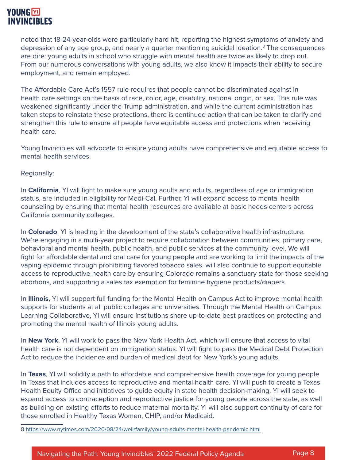noted that 18-24-year-olds were particularly hard hit, reporting the highest symptoms of anxiety and depression of any age group, and nearly a quarter mentioning suicidal ideation.<sup>8</sup> The consequences are dire: young adults in school who struggle with mental health are twice as likely to drop out. From our numerous conversations with young adults, we also know it impacts their ability to secure employment, and remain employed.

The Affordable Care Act's 1557 rule requires that people cannot be discriminated against in health care settings on the basis of race, color, age, disability, national origin, or sex. This rule was weakened significantly under the Trump administration, and while the current administration has taken steps to reinstate these protections, there is continued action that can be taken to clarify and strengthen this rule to ensure all people have equitable access and protections when receiving health care.

Young Invincibles will advocate to ensure young adults have comprehensive and equitable access to mental health services.

Regionally:

In **California**, YI will fight to make sure young adults and adults, regardless of age or immigration status, are included in eligibility for Medi-Cal. Further, YI will expand access to mental health counseling by ensuring that mental health resources are available at basic needs centers across California community colleges.

In **Colorado**, YI is leading in the development of the state's collaborative health infrastructure. We're engaging in a multi-year project to require collaboration between communities, primary care, behavioral and mental health, public health, and public services at the community level. We will fight for affordable dental and oral care for young people and are working to limit the impacts of the vaping epidemic through prohibiting flavored tobacco sales. will also continue to support equitable access to reproductive health care by ensuring Colorado remains a sanctuary state for those seeking abortions, and supporting a sales tax exemption for feminine hygiene products/diapers.

In **Illinois**, YI will support full funding for the Mental Health on Campus Act to improve mental health supports for students at all public colleges and universities. Through the Mental Health on Campus Learning Collaborative, YI will ensure institutions share up-to-date best practices on protecting and promoting the mental health of Illinois young adults.

In **New York**, YI will work to pass the New York Health Act, which will ensure that access to vital health care is not dependent on immigration status. YI will fight to pass the Medical Debt Protection Act to reduce the incidence and burden of medical debt for New York's young adults.

In **Texas**, YI will solidify a path to affordable and comprehensive health coverage for young people in Texas that includes access to reproductive and mental health care. YI will push to create a Texas Health Equity Office and initiatives to guide equity in state health decision-making. YI will seek to expand access to contraception and reproductive justice for young people across the state, as well as building on existing efforts to reduce maternal mortality. YI will also support continuity of care for those enrolled in Healthy Texas Women, CHIP, and/or Medicaid.

8<https://www.nytimes.com/2020/08/24/well/family/young-adults-mental-health-pandemic.html>

Navigating the Path: Young Invincibles' 2022 Federal Policy Agenda Page 8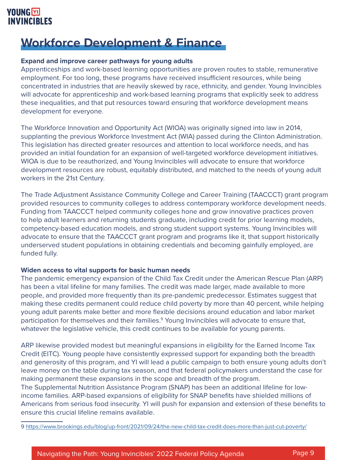# **Workforce Development & Finance**

#### **Expand and improve career pathways for young adults**

Apprenticeships and work-based learning opportunities are proven routes to stable, remunerative employment. For too long, these programs have received insufficient resources, while being concentrated in industries that are heavily skewed by race, ethnicity, and gender. Young Invincibles will advocate for apprenticeship and work-based learning programs that explicitly seek to address these inequalities, and that put resources toward ensuring that workforce development means development for everyone.

The Workforce Innovation and Opportunity Act (WIOA) was originally signed into law in 2014, supplanting the previous Workforce Investment Act (WIA) passed during the Clinton Administration. This legislation has directed greater resources and attention to local workforce needs, and has provided an initial foundation for an expansion of well-targeted workforce development initiatives. WIOA is due to be reauthorized, and Young Invincibles will advocate to ensure that workforce development resources are robust, equitably distributed, and matched to the needs of young adult workers in the 21st Century.

The Trade Adjustment Assistance Community College and Career Training (TAACCCT) grant program provided resources to community colleges to address contemporary workforce development needs. Funding from TAACCCT helped community colleges hone and grow innovative practices proven to help adult learners and returning students graduate, including credit for prior learning models, competency-based education models, and strong student support systems. Young Invincibles will advocate to ensure that the TAACCCT grant program and programs like it, that support historically underserved student populations in obtaining credentials and becoming gainfully employed, are funded fully.

#### **Widen access to vital supports for basic human needs**

The pandemic emergency expansion of the Child Tax Credit under the American Rescue Plan (ARP) has been a vital lifeline for many families. The credit was made larger, made available to more people, and provided more frequently than its pre-pandemic predecessor. Estimates suggest that making these credits permanent could reduce child poverty by more than 40 percent, while helping young adult parents make better and more flexible decisions around education and labor market participation for themselves and their families.<sup>9</sup> Young Invincibles will advocate to ensure that, whatever the legislative vehicle, this credit continues to be available for young parents.

ARP likewise provided modest but meaningful expansions in eligibility for the Earned Income Tax Credit (EITC). Young people have consistently expressed support for expanding both the breadth and generosity of this program, and YI will lead a public campaign to both ensure young adults don't leave money on the table during tax season, and that federal policymakers understand the case for making permanent these expansions in the scope and breadth of the program.

The Supplemental Nutrition Assistance Program (SNAP) has been an additional lifeline for lowincome families. ARP-based expansions of eligibility for SNAP benefits have shielded millions of Americans from serious food insecurity. YI will push for expansion and extension of these benefits to ensure this crucial lifeline remains available.

9 [https://www.brookings.edu/blog/up-front/2021/09/24/the-new-child-tax-credit-does-more-than-just-cut-poverty/](https://www.brookings.edu/blog/up-front/2021/09/24/the-new-child-tax-credit-does-more-than-just-cut-)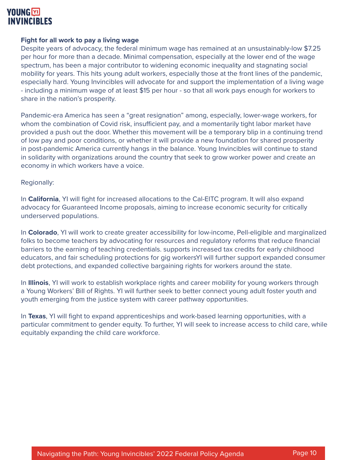

#### **Fight for all work to pay a living wage**

Despite years of advocacy, the federal minimum wage has remained at an unsustainably-low \$7.25 per hour for more than a decade. Minimal compensation, especially at the lower end of the wage spectrum, has been a major contributor to widening economic inequality and stagnating social mobility for years. This hits young adult workers, especially those at the front lines of the pandemic, especially hard. Young Invincibles will advocate for and support the implementation of a living wage - including a minimum wage of at least \$15 per hour - so that all work pays enough for workers to share in the nation's prosperity.

Pandemic-era America has seen a "great resignation" among, especially, lower-wage workers, for whom the combination of Covid risk, insufficient pay, and a momentarily tight labor market have provided a push out the door. Whether this movement will be a temporary blip in a continuing trend of low pay and poor conditions, or whether it will provide a new foundation for shared prosperity in post-pandemic America currently hangs in the balance. Young Invincibles will continue to stand in solidarity with organizations around the country that seek to grow worker power and create an economy in which workers have a voice.

#### Regionally:

In **California**, YI will fight for increased allocations to the Cal-EITC program. It will also expand advocacy for Guaranteed Income proposals, aiming to increase economic security for critically underserved populations.

In **Colorado**, YI will work to create greater accessibility for low-income, Pell-eligible and marginalized folks to become teachers by advocating for resources and regulatory reforms that reduce financial barriers to the earning of teaching credentials. supports increased tax credits for early childhood educators, and fair scheduling protections for gig workersYI will further support expanded consumer debt protections, and expanded collective bargaining rights for workers around the state.

In **Illinois**, YI will work to establish workplace rights and career mobility for young workers through a Young Workers' Bill of Rights. YI will further seek to better connect young adult foster youth and youth emerging from the justice system with career pathway opportunities.

In **Texas**, YI will fight to expand apprenticeships and work-based learning opportunities, with a particular commitment to gender equity. To further, YI will seek to increase access to child care, while equitably expanding the child care workforce.